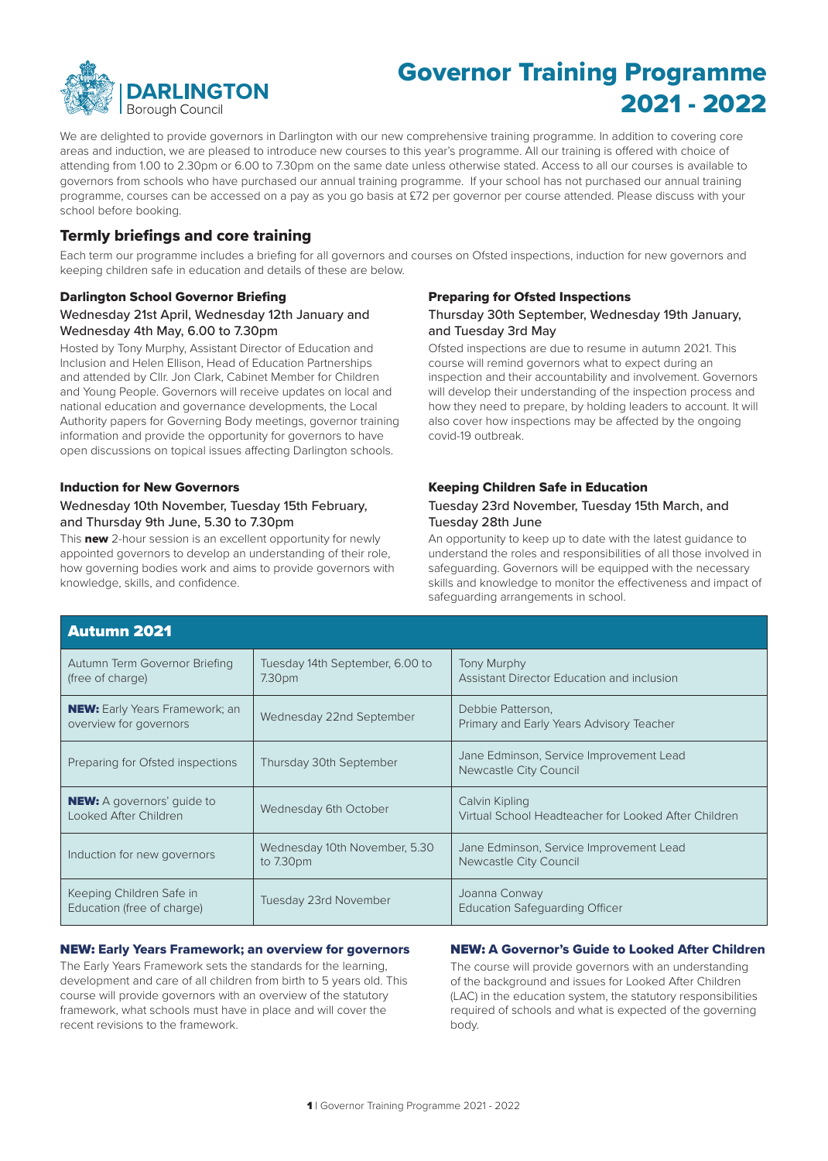

## Governor Training Programme 2021 - 2022

We are delighted to provide governors in Darlington with our new comprehensive training programme. In addition to covering core areas and induction, we are pleased to introduce new courses to this year's programme. All our training is ofered with choice of attending from 1.00 to 2.30pm or 6.00 to 7.30pm on the same date unless otherwise stated. Access to all our courses is available to governors from schools who have purchased our annual training programme. If your school has not purchased our annual training programme, courses can be accessed on a pay as you go basis at £72 per governor per course attended. Please discuss with your school before booking.

### Termly briefings and core training

Each term our programme includes a briefng for all governors and courses on Ofsted inspections, induction for new governors and keeping children safe in education and details of these are below.

#### Darlington School Governor Briefng Wednesday 21st April, Wednesday 12th January and Wednesday 4th May, 6.00 to 7.30pm

Hosted by Tony Murphy, Assistant Director of Education and Inclusion and Helen Ellison, Head of Education Partnerships and attended by Cllr. Jon Clark, Cabinet Member for Children and Young People. Governors will receive updates on local and national education and governance developments, the Local Authority papers for Governing Body meetings, governor training information and provide the opportunity for governors to have open discussions on topical issues afecting Darlington schools.

#### Induction for New Governors

### Wednesday 10th November, Tuesday 15th February, and Thursday 9th June, 5.30 to 7.30pm

This new 2-hour session is an excellent opportunity for newly appointed governors to develop an understanding of their role, how governing bodies work and aims to provide governors with knowledge, skills, and confdence.

#### Preparing for Ofsted Inspections

#### Thursday 30th September, Wednesday 19th January, and Tuesday 3rd May

Ofsted inspections are due to resume in autumn 2021. This course will remind governors what to expect during an inspection and their accountability and involvement. Governors will develop their understanding of the inspection process and how they need to prepare, by holding leaders to account. It will also cover how inspections may be afected by the ongoing covid-19 outbreak.

### Keeping Children Safe in Education

#### Tuesday 23rd November, Tuesday 15th March, and Tuesday 28th June

An opportunity to keep up to date with the latest guidance to understand the roles and responsibilities of all those involved in safeguarding. Governors will be equipped with the necessary skills and knowledge to monitor the efectiveness and impact of safeguarding arrangements in school.

| <b>Autumn 2021</b>                                              |                                                       |                                                                        |
|-----------------------------------------------------------------|-------------------------------------------------------|------------------------------------------------------------------------|
| Autumn Term Governor Briefing<br>(free of charge)               | Tuesday 14th September, 6.00 to<br>7.30 <sub>pm</sub> | Tony Murphy<br>Assistant Director Education and inclusion              |
| <b>NEW:</b> Early Years Framework; an<br>overview for governors | Wednesday 22nd September                              | Debbie Patterson,<br>Primary and Early Years Advisory Teacher          |
| Preparing for Ofsted inspections                                | Thursday 30th September                               | Jane Edminson, Service Improvement Lead<br>Newcastle City Council      |
| <b>NEW:</b> A governors' guide to<br>Looked After Children      | Wednesday 6th October                                 | Calvin Kipling<br>Virtual School Headteacher for Looked After Children |
| Induction for new governors                                     | Wednesday 10th November, 5.30<br>to $7.30pm$          | Jane Edminson, Service Improvement Lead<br>Newcastle City Council      |
| Keeping Children Safe in<br>Education (free of charge)          | Tuesday 23rd November                                 | Joanna Conway<br><b>Education Safeguarding Officer</b>                 |

#### NEW: Early Years Framework; an overview for governors NEW: A Governor's Guide to Looked After Children

The Early Years Framework sets the standards for the learning, The course will provide governors with an understanding development and care of all children from birth to 5 years old. This of the background and issues for Looked After Children course will provide governors with an overview of the statutory (LAC) in the education system, the framework, what schools must have in place and will cover the required of schools and what is expected of the governing recent revisions to the framework. The state of the framework body.

(LAC) in the education system, the statutory responsibilities